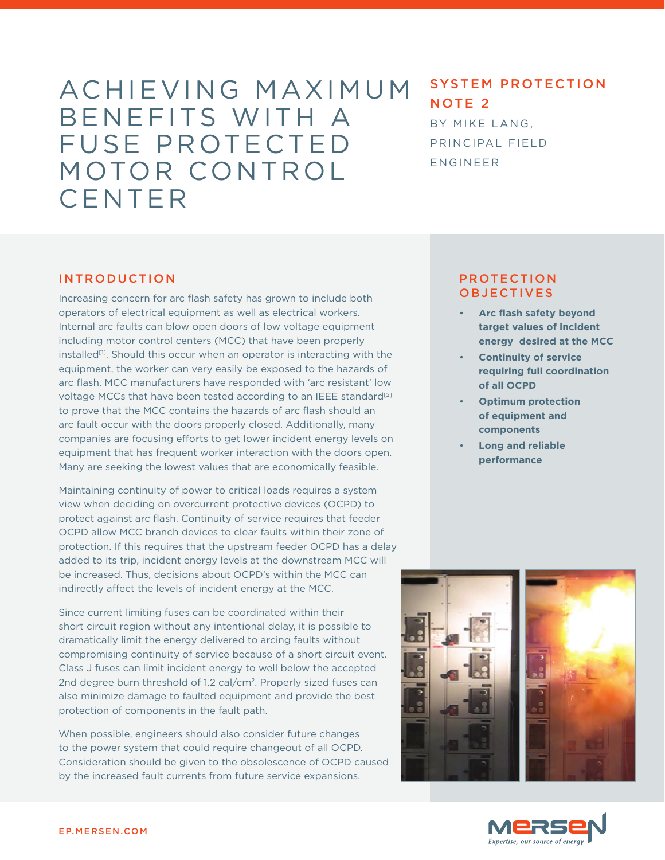# ACHIEVING MAXIMUM BENEFITS WITH A FUSE PROTECTED MOTOR CONTROL CENTER

# SYSTEM PROTECTION NOTE 2

BY MIKE LANG, PRINCIPAL FIELD ENGINEER

## INTRODUCTION

Increasing concern for arc flash safety has grown to include both operators of electrical equipment as well as electrical workers. Internal arc faults can blow open doors of low voltage equipment including motor control centers (MCC) that have been properly installed<sup>[1]</sup>. Should this occur when an operator is interacting with the equipment, the worker can very easily be exposed to the hazards of arc flash. MCC manufacturers have responded with 'arc resistant' low voltage MCCs that have been tested according to an IEEE standard<sup>[2]</sup> to prove that the MCC contains the hazards of arc flash should an arc fault occur with the doors properly closed. Additionally, many companies are focusing efforts to get lower incident energy levels on equipment that has frequent worker interaction with the doors open. Many are seeking the lowest values that are economically feasible.

Maintaining continuity of power to critical loads requires a system view when deciding on overcurrent protective devices (OCPD) to protect against arc flash. Continuity of service requires that feeder OCPD allow MCC branch devices to clear faults within their zone of protection. If this requires that the upstream feeder OCPD has a delay added to its trip, incident energy levels at the downstream MCC will be increased. Thus, decisions about OCPD's within the MCC can indirectly affect the levels of incident energy at the MCC.

Since current limiting fuses can be coordinated within their short circuit region without any intentional delay, it is possible to dramatically limit the energy delivered to arcing faults without compromising continuity of service because of a short circuit event. Class J fuses can limit incident energy to well below the accepted 2nd degree burn threshold of 1.2 cal/cm2. Properly sized fuses can also minimize damage to faulted equipment and provide the best protection of components in the fault path.

When possible, engineers should also consider future changes to the power system that could require changeout of all OCPD. Consideration should be given to the obsolescence of OCPD caused by the increased fault currents from future service expansions.

## PROTECTION **OBJECTIVES**

- **Arc flash safety beyond target values of incident energy desired at the MCC**
- **Continuity of service requiring full coordination of all OCPD**
- **Optimum protection of equipment and components**
- **Long and reliable performance**



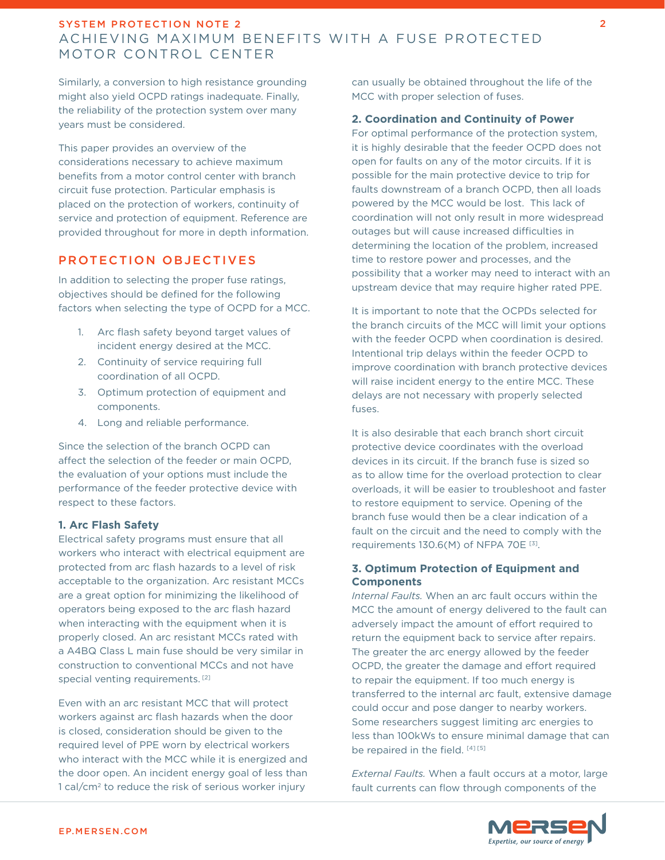Similarly, a conversion to high resistance grounding might also yield OCPD ratings inadequate. Finally, the reliability of the protection system over many years must be considered.

This paper provides an overview of the considerations necessary to achieve maximum benefits from a motor control center with branch circuit fuse protection. Particular emphasis is placed on the protection of workers, continuity of service and protection of equipment. Reference are provided throughout for more in depth information.

## PROTECTION OBJECTIVES

In addition to selecting the proper fuse ratings, objectives should be defined for the following factors when selecting the type of OCPD for a MCC.

- 1. Arc flash safety beyond target values of incident energy desired at the MCC.
- 2. Continuity of service requiring full coordination of all OCPD.
- 3. Optimum protection of equipment and components.
- 4. Long and reliable performance.

Since the selection of the branch OCPD can affect the selection of the feeder or main OCPD, the evaluation of your options must include the performance of the feeder protective device with respect to these factors.

#### **1. Arc Flash Safety**

Electrical safety programs must ensure that all workers who interact with electrical equipment are protected from arc flash hazards to a level of risk acceptable to the organization. Arc resistant MCCs are a great option for minimizing the likelihood of operators being exposed to the arc flash hazard when interacting with the equipment when it is properly closed. An arc resistant MCCs rated with a A4BQ Class L main fuse should be very similar in construction to conventional MCCs and not have special venting requirements.<sup>[2]</sup>

Even with an arc resistant MCC that will protect workers against arc flash hazards when the door is closed, consideration should be given to the required level of PPE worn by electrical workers who interact with the MCC while it is energized and the door open. An incident energy goal of less than 1 cal/cm2 to reduce the risk of serious worker injury

can usually be obtained throughout the life of the MCC with proper selection of fuses.

### **2. Coordination and Continuity of Power**

For optimal performance of the protection system, it is highly desirable that the feeder OCPD does not open for faults on any of the motor circuits. If it is possible for the main protective device to trip for faults downstream of a branch OCPD, then all loads powered by the MCC would be lost. This lack of coordination will not only result in more widespread outages but will cause increased difficulties in determining the location of the problem, increased time to restore power and processes, and the possibility that a worker may need to interact with an upstream device that may require higher rated PPE.

It is important to note that the OCPDs selected for the branch circuits of the MCC will limit your options with the feeder OCPD when coordination is desired. Intentional trip delays within the feeder OCPD to improve coordination with branch protective devices will raise incident energy to the entire MCC. These delays are not necessary with properly selected fuses.

It is also desirable that each branch short circuit protective device coordinates with the overload devices in its circuit. If the branch fuse is sized so as to allow time for the overload protection to clear overloads, it will be easier to troubleshoot and faster to restore equipment to service. Opening of the branch fuse would then be a clear indication of a fault on the circuit and the need to comply with the requirements 130.6(M) of NFPA 70E [3].

### **3. Optimum Protection of Equipment and Components**

*Internal Faults.* When an arc fault occurs within the MCC the amount of energy delivered to the fault can adversely impact the amount of effort required to return the equipment back to service after repairs. The greater the arc energy allowed by the feeder OCPD, the greater the damage and effort required to repair the equipment. If too much energy is transferred to the internal arc fault, extensive damage could occur and pose danger to nearby workers. Some researchers suggest limiting arc energies to less than 100kWs to ensure minimal damage that can be repaired in the field. [4] [5]

*External Faults.* When a fault occurs at a motor, large fault currents can flow through components of the



2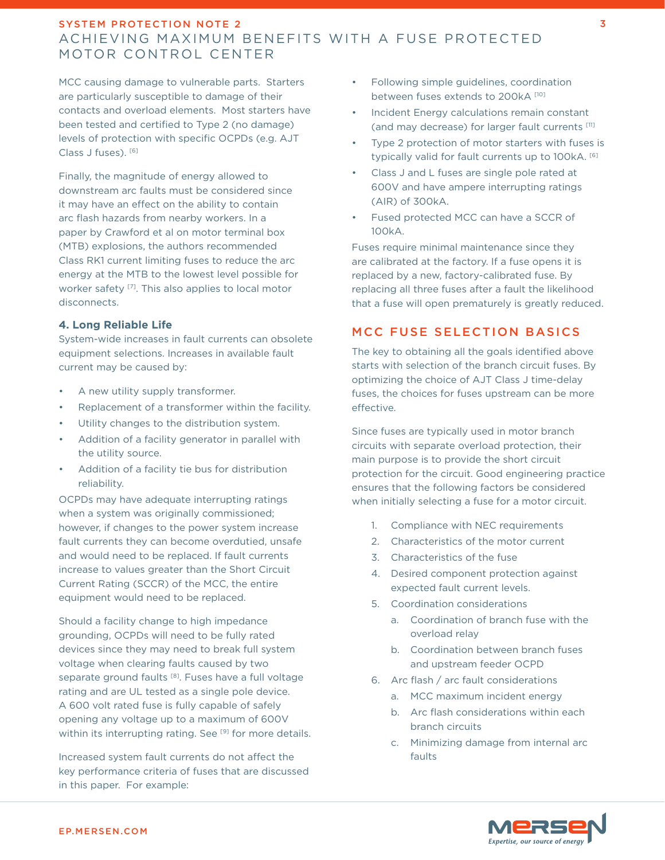MCC causing damage to vulnerable parts. Starters are particularly susceptible to damage of their contacts and overload elements. Most starters have been tested and certified to Type 2 (no damage) levels of protection with specific OCPDs (e.g. AJT Class J fuses). [6]

Finally, the magnitude of energy allowed to downstream arc faults must be considered since it may have an effect on the ability to contain arc flash hazards from nearby workers. In a paper by Crawford et al on motor terminal box (MTB) explosions, the authors recommended Class RK1 current limiting fuses to reduce the arc energy at the MTB to the lowest level possible for worker safety<sup>[7]</sup>. This also applies to local motor disconnects.

#### **4. Long Reliable Life**

System-wide increases in fault currents can obsolete equipment selections. Increases in available fault current may be caused by:

- A new utility supply transformer.
- Replacement of a transformer within the facility.
- Utility changes to the distribution system.
- Addition of a facility generator in parallel with the utility source.
- Addition of a facility tie bus for distribution reliability.

OCPDs may have adequate interrupting ratings when a system was originally commissioned; however, if changes to the power system increase fault currents they can become overdutied, unsafe and would need to be replaced. If fault currents increase to values greater than the Short Circuit Current Rating (SCCR) of the MCC, the entire equipment would need to be replaced.

Should a facility change to high impedance grounding, OCPDs will need to be fully rated devices since they may need to break full system voltage when clearing faults caused by two separate ground faults<sup>[8]</sup>. Fuses have a full voltage rating and are UL tested as a single pole device. A 600 volt rated fuse is fully capable of safely opening any voltage up to a maximum of 600V within its interrupting rating. See [9] for more details.

Increased system fault currents do not affect the key performance criteria of fuses that are discussed in this paper. For example:

- Following simple guidelines, coordination between fuses extends to 200kA [10]
- Incident Energy calculations remain constant (and may decrease) for larger fault currents [11]
- Type 2 protection of motor starters with fuses is typically valid for fault currents up to 100kA. [6]
- Class J and L fuses are single pole rated at 600V and have ampere interrupting ratings (AIR) of 300kA.
- Fused protected MCC can have a SCCR of 100kA.

Fuses require minimal maintenance since they are calibrated at the factory. If a fuse opens it is replaced by a new, factory-calibrated fuse. By replacing all three fuses after a fault the likelihood that a fuse will open prematurely is greatly reduced.

## MCC FUSE SELECTION BASICS

The key to obtaining all the goals identified above starts with selection of the branch circuit fuses. By optimizing the choice of AJT Class J time-delay fuses, the choices for fuses upstream can be more effective.

Since fuses are typically used in motor branch circuits with separate overload protection, their main purpose is to provide the short circuit protection for the circuit. Good engineering practice ensures that the following factors be considered when initially selecting a fuse for a motor circuit.

- 1. Compliance with NEC requirements
- 2. Characteristics of the motor current
- 3. Characteristics of the fuse
- 4. Desired component protection against expected fault current levels.
- 5. Coordination considerations
	- a. Coordination of branch fuse with the overload relay
	- b. Coordination between branch fuses and upstream feeder OCPD
- 6. Arc flash / arc fault considerations
	- a. MCC maximum incident energy
		- b. Arc flash considerations within each branch circuits
		- c. Minimizing damage from internal arc faults

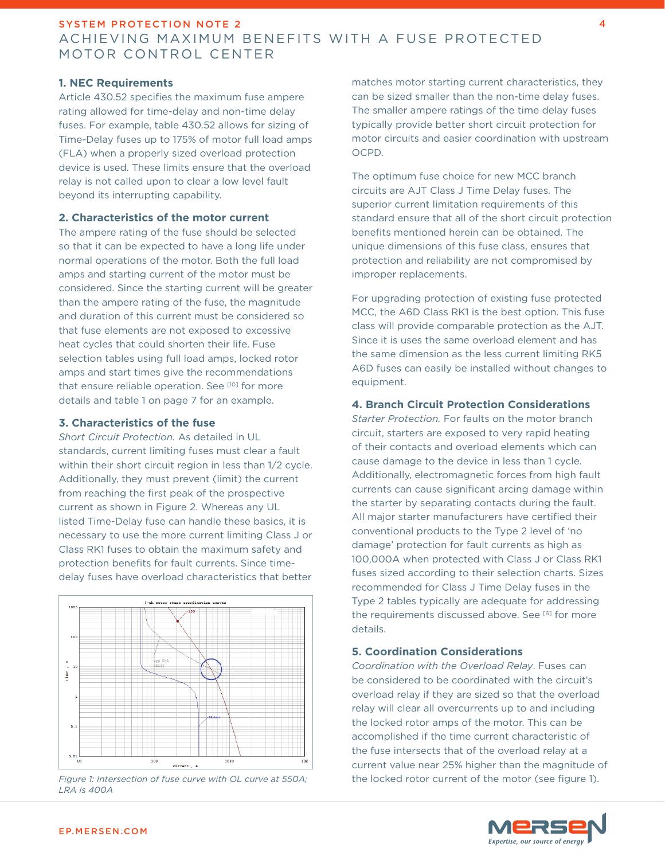#### **1. NEC Requirements**

Article 430.52 specifies the maximum fuse ampere rating allowed for time-delay and non-time delay fuses. For example, table 430.52 allows for sizing of Time-Delay fuses up to 175% of motor full load amps (FLA) when a properly sized overload protection device is used. These limits ensure that the overload relay is not called upon to clear a low level fault beyond its interrupting capability.

#### **2. Characteristics of the motor current**

The ampere rating of the fuse should be selected so that it can be expected to have a long life under normal operations of the motor. Both the full load amps and starting current of the motor must be considered. Since the starting current will be greater than the ampere rating of the fuse, the magnitude and duration of this current must be considered so that fuse elements are not exposed to excessive heat cycles that could shorten their life. Fuse selection tables using full load amps, locked rotor amps and start times give the recommendations that ensure reliable operation. See [10] for more details and table 1 on page 7 for an example.

## **3. Characteristics of the fuse**

*Short Circuit Protection.* As detailed in UL standards, current limiting fuses must clear a fault within their short circuit region in less than 1/2 cycle. Additionally, they must prevent (limit) the current from reaching the first peak of the prospective current as shown in Figure 2. Whereas any UL listed Time-Delay fuse can handle these basics, it is necessary to use the more current limiting Class J or Class RK1 fuses to obtain the maximum safety and protection benefits for fault currents. Since timedelay fuses have overload characteristics that better



*LRA is 400A*

matches motor starting current characteristics, they can be sized smaller than the non-time delay fuses. The smaller ampere ratings of the time delay fuses typically provide better short circuit protection for motor circuits and easier coordination with upstream OCPD.

The optimum fuse choice for new MCC branch circuits are AJT Class J Time Delay fuses. The superior current limitation requirements of this standard ensure that all of the short circuit protection benefits mentioned herein can be obtained. The unique dimensions of this fuse class, ensures that protection and reliability are not compromised by improper replacements.

For upgrading protection of existing fuse protected MCC, the A6D Class RK1 is the best option. This fuse class will provide comparable protection as the AJT. Since it is uses the same overload element and has the same dimension as the less current limiting RK5 A6D fuses can easily be installed without changes to equipment.

#### **4. Branch Circuit Protection Considerations**

*Starter Protection.* For faults on the motor branch circuit, starters are exposed to very rapid heating of their contacts and overload elements which can cause damage to the device in less than 1 cycle. Additionally, electromagnetic forces from high fault currents can cause significant arcing damage within the starter by separating contacts during the fault. All major starter manufacturers have certified their conventional products to the Type 2 level of 'no damage' protection for fault currents as high as 100,000A when protected with Class J or Class RK1 fuses sized according to their selection charts. Sizes recommended for Class J Time Delay fuses in the Type 2 tables typically are adequate for addressing the requirements discussed above. See [6] for more details.

#### **5. Coordination Considerations**

*Coordination with the Overload Relay*. Fuses can be considered to be coordinated with the circuit's overload relay if they are sized so that the overload relay will clear all overcurrents up to and including the locked rotor amps of the motor. This can be accomplished if the time current characteristic of the fuse intersects that of the overload relay at a current value near 25% higher than the magnitude of *Figure 1: Intersection of fuse curve with OL curve at 550A;* the locked rotor current of the motor (see figure 1).

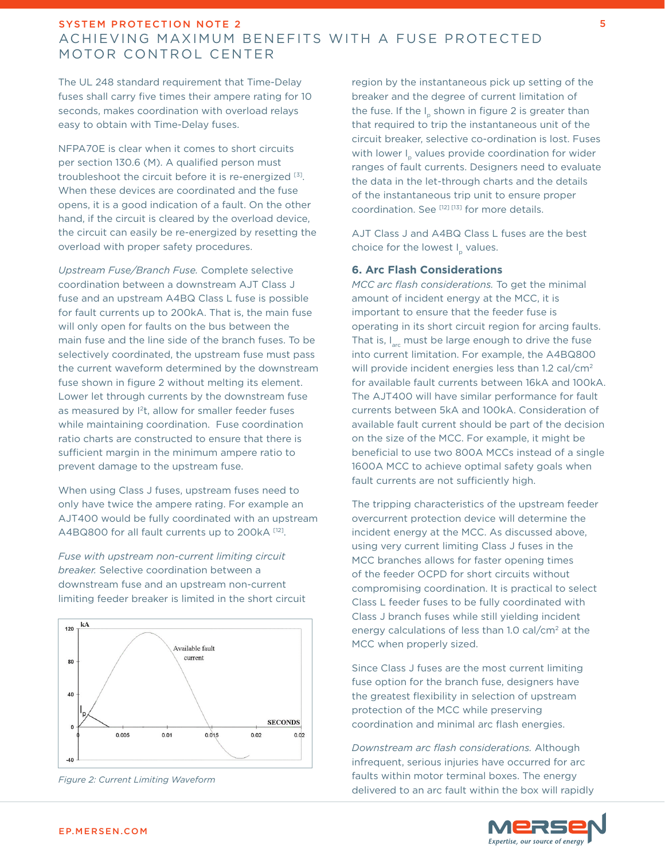The UL 248 standard requirement that Time-Delay fuses shall carry five times their ampere rating for 10 seconds, makes coordination with overload relays easy to obtain with Time-Delay fuses.

NFPA70E is clear when it comes to short circuits per section 130.6 (M). A qualified person must troubleshoot the circuit before it is re-energized [3]. When these devices are coordinated and the fuse opens, it is a good indication of a fault. On the other hand, if the circuit is cleared by the overload device, the circuit can easily be re-energized by resetting the overload with proper safety procedures.

*Upstream Fuse/Branch Fuse.* Complete selective coordination between a downstream AJT Class J fuse and an upstream A4BQ Class L fuse is possible for fault currents up to 200kA. That is, the main fuse will only open for faults on the bus between the main fuse and the line side of the branch fuses. To be selectively coordinated, the upstream fuse must pass the current waveform determined by the downstream fuse shown in figure 2 without melting its element. Lower let through currents by the downstream fuse as measured by <sup>2</sup>t, allow for smaller feeder fuses while maintaining coordination. Fuse coordination ratio charts are constructed to ensure that there is sufficient margin in the minimum ampere ratio to prevent damage to the upstream fuse.

When using Class J fuses, upstream fuses need to only have twice the ampere rating. For example an AJT400 would be fully coordinated with an upstream A4BQ800 for all fault currents up to 200kA [12].

*Fuse with upstream non-current limiting circuit breaker.* Selective coordination between a downstream fuse and an upstream non-current limiting feeder breaker is limited in the short circuit





region by the instantaneous pick up setting of the breaker and the degree of current limitation of the fuse. If the I shown in figure 2 is greater than that required to trip the instantaneous unit of the circuit breaker, selective co-ordination is lost. Fuses with lower I values provide coordination for wider ranges of fault currents. Designers need to evaluate the data in the let-through charts and the details of the instantaneous trip unit to ensure proper coordination. See [12] [13] for more details.

AJT Class J and A4BQ Class L fuses are the best choice for the lowest I<sub>n</sub> values.

#### **6. Arc Flash Considerations**

*MCC arc flash considerations.* To get the minimal amount of incident energy at the MCC, it is important to ensure that the feeder fuse is operating in its short circuit region for arcing faults. That is,  $I_{\text{arc}}$  must be large enough to drive the fuse into current limitation. For example, the A4BQ800 will provide incident energies less than 1.2 cal/cm<sup>2</sup> for available fault currents between 16kA and 100kA. The AJT400 will have similar performance for fault currents between 5kA and 100kA. Consideration of available fault current should be part of the decision on the size of the MCC. For example, it might be beneficial to use two 800A MCCs instead of a single 1600A MCC to achieve optimal safety goals when fault currents are not sufficiently high.

The tripping characteristics of the upstream feeder overcurrent protection device will determine the incident energy at the MCC. As discussed above, using very current limiting Class J fuses in the MCC branches allows for faster opening times of the feeder OCPD for short circuits without compromising coordination. It is practical to select Class L feeder fuses to be fully coordinated with Class J branch fuses while still yielding incident energy calculations of less than 1.0 cal/cm<sup>2</sup> at the MCC when properly sized.

Since Class J fuses are the most current limiting fuse option for the branch fuse, designers have the greatest flexibility in selection of upstream protection of the MCC while preserving coordination and minimal arc flash energies.

*Downstream arc flash considerations.* Although infrequent, serious injuries have occurred for arc faults within motor terminal boxes. The energy delivered to an arc fault within the box will rapidly

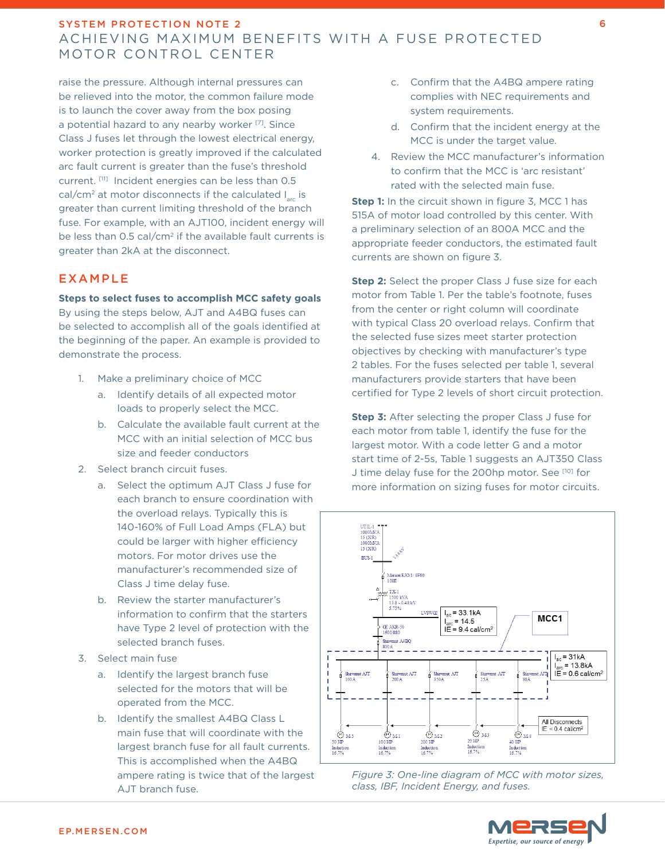raise the pressure. Although internal pressures can be relieved into the motor, the common failure mode is to launch the cover away from the box posing a potential hazard to any nearby worker [7]. Since Class J fuses let through the lowest electrical energy, worker protection is greatly improved if the calculated arc fault current is greater than the fuse's threshold current. [11] Incident energies can be less than 0.5 cal/cm<sup>2</sup> at motor disconnects if the calculated  $I_{\text{max}}$  is greater than current limiting threshold of the branch fuse. For example, with an AJT100, incident energy will be less than 0.5 cal/cm<sup>2</sup> if the available fault currents is greater than 2kA at the disconnect.

## EXAMPLE

#### **Steps to select fuses to accomplish MCC safety goals**

By using the steps below, AJT and A4BQ fuses can be selected to accomplish all of the goals identified at the beginning of the paper. An example is provided to demonstrate the process.

- 1. Make a preliminary choice of MCC
	- a. Identify details of all expected motor loads to properly select the MCC.
	- b. Calculate the available fault current at the MCC with an initial selection of MCC bus size and feeder conductors
- 2. Select branch circuit fuses.
	- a. Select the optimum AJT Class J fuse for each branch to ensure coordination with the overload relays. Typically this is 140-160% of Full Load Amps (FLA) but could be larger with higher efficiency motors. For motor drives use the manufacturer's recommended size of Class J time delay fuse.
	- b. Review the starter manufacturer's information to confirm that the starters have Type 2 level of protection with the selected branch fuses.
- 3. Select main fuse
	- a. Identify the largest branch fuse selected for the motors that will be operated from the MCC.
	- b. Identify the smallest A4BQ Class L main fuse that will coordinate with the largest branch fuse for all fault currents. This is accomplished when the A4BQ ampere rating is twice that of the largest AJT branch fuse.
- c. Confirm that the A4BQ ampere rating complies with NEC requirements and system requirements.
- d. Confirm that the incident energy at the MCC is under the target value.
- 4. Review the MCC manufacturer's information to confirm that the MCC is 'arc resistant' rated with the selected main fuse.

**Step 1:** In the circuit shown in figure 3, MCC 1 has 515A of motor load controlled by this center. With a preliminary selection of an 800A MCC and the appropriate feeder conductors, the estimated fault currents are shown on figure 3.

**Step 2:** Select the proper Class J fuse size for each motor from Table 1. Per the table's footnote, fuses from the center or right column will coordinate with typical Class 20 overload relays. Confirm that the selected fuse sizes meet starter protection objectives by checking with manufacturer's type 2 tables. For the fuses selected per table 1, several manufacturers provide starters that have been certified for Type 2 levels of short circuit protection.

**Step 3:** After selecting the proper Class J fuse for each motor from table 1, identify the fuse for the largest motor. With a code letter G and a motor start time of 2-5s, Table 1 suggests an AJT350 Class J time delay fuse for the 200hp motor. See [10] for more information on sizing fuses for motor circuits.





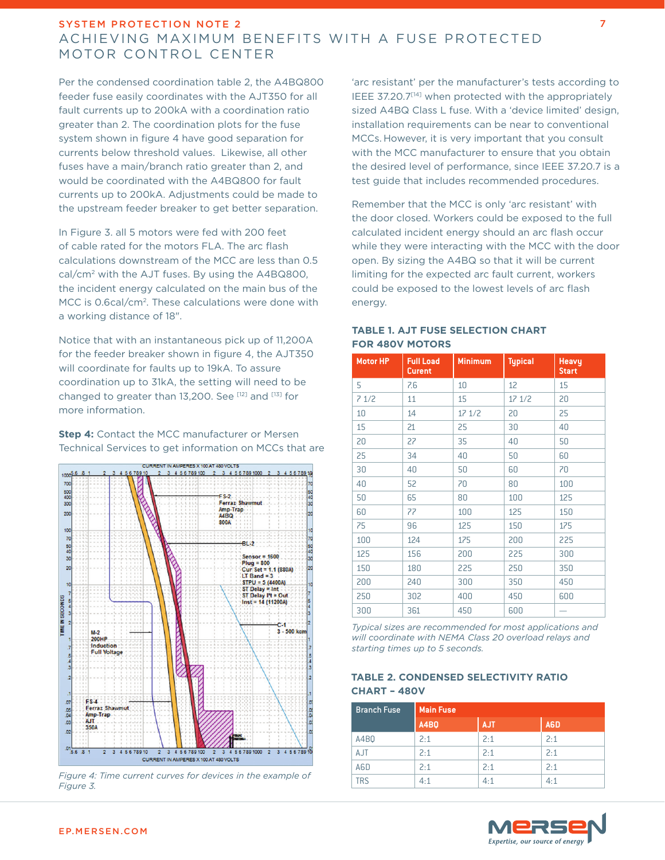Per the condensed coordination table 2, the A4BQ800 feeder fuse easily coordinates with the AJT350 for all fault currents up to 200kA with a coordination ratio greater than 2. The coordination plots for the fuse system shown in figure 4 have good separation for currents below threshold values. Likewise, all other fuses have a main/branch ratio greater than 2, and would be coordinated with the A4BQ800 for fault currents up to 200kA. Adjustments could be made to the upstream feeder breaker to get better separation.

In Figure 3. all 5 motors were fed with 200 feet of cable rated for the motors FLA. The arc flash calculations downstream of the MCC are less than 0.5 cal/cm2 with the AJT fuses. By using the A4BQ800, the incident energy calculated on the main bus of the MCC is 0.6cal/cm<sup>2</sup>. These calculations were done with a working distance of 18".

Notice that with an instantaneous pick up of 11,200A for the feeder breaker shown in figure 4, the AJT350 will coordinate for faults up to 19kA. To assure coordination up to 31kA, the setting will need to be changed to greater than 13,200. See [12] and [13] for more information.

#### **Step 4:** Contact the MCC manufacturer or Mersen Technical Services to get information on MCCs that are



*Figure 4: Time current curves for devices in the example of Figure 3.*

'arc resistant' per the manufacturer's tests according to IEEE 37.20.7<sup>[14]</sup> when protected with the appropriately sized A4BQ Class L fuse. With a 'device limited' design, installation requirements can be near to conventional MCCs. However, it is very important that you consult with the MCC manufacturer to ensure that you obtain the desired level of performance, since IEEE 37.20.7 is a test guide that includes recommended procedures.

Remember that the MCC is only 'arc resistant' with the door closed. Workers could be exposed to the full calculated incident energy should an arc flash occur while they were interacting with the MCC with the door open. By sizing the A4BQ so that it will be current limiting for the expected arc fault current, workers could be exposed to the lowest levels of arc flash energy.

## **TABLE 1. AJT FUSE SELECTION CHART FOR 480V MOTORS**

| <b>Motor HP</b> | <b>Full Load</b><br><b>Curent</b> | <b>Minimum</b> | <b>Typical</b> | Heavy<br><b>Start</b> |
|-----------------|-----------------------------------|----------------|----------------|-----------------------|
| 5               | 7.6                               | 10             | 12             | 15                    |
| 71/2            | 11                                | 15             | 17 1/2         | 20                    |
| 10              | 14                                | 17 1/2         | 20             | 25                    |
| 15              | 21                                | 25             | 30             | 40                    |
| 20              | 27                                | 35             | 40             | 50                    |
| 25              | 34                                | 40             | 50             | 60                    |
| 30              | 40                                | 50             | 60             | 70                    |
| 40              | 52                                | 70             | 80             | 100                   |
| 50              | 65                                | 80             | 100            | 125                   |
| 60              | 77                                | 100            | 125            | 150                   |
| 75              | 96                                | 125            | 150            | 175                   |
| 100             | 124                               | 175            | 200            | 225                   |
| 125             | 156                               | 200            | 225            | 300                   |
| 150             | 180                               | 225            | 250            | 350                   |
| 200             | 240                               | 300            | 350            | 450                   |
| 250             | 302                               | 400            | 450            | 600                   |
| 300             | 361                               | 450            | 600            |                       |

*Typical sizes are recommended for most applications and will coordinate with NEMA Class 20 overload relays and starting times up to 5 seconds.*

### **TABLE 2. CONDENSED SELECTIVITY RATIO CHART – 480V**

| <b>Branch Fuse</b> | <b>Main Fuse</b> |            |     |  |
|--------------------|------------------|------------|-----|--|
|                    | A4BO             | <b>AJT</b> | A6D |  |
| A4BQ               | 2:1              | 2:1        | 2:1 |  |
| AJT                | 2:1              | 2:1        | 2:1 |  |
| A6D                | 2:1              | 2:1        | 2:1 |  |
| <b>TRS</b>         | 4:1              | 4:1        | 4:1 |  |